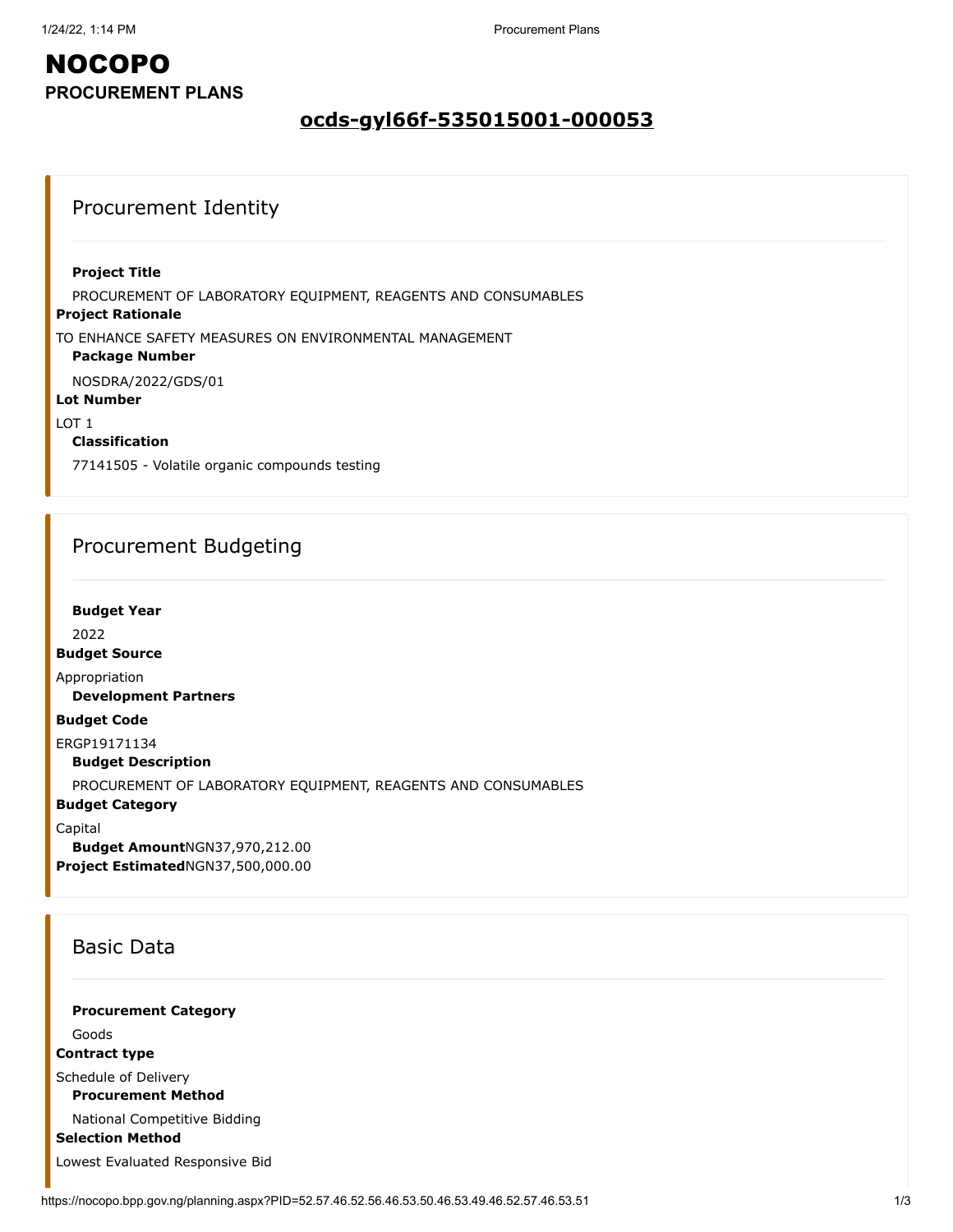### **ocds-gyl66f-535015001-000053**

### Procurement Identity

#### **Project Title**

PROCUREMENT OF LABORATORY EQUIPMENT, REAGENTS AND CONSUMABLES

#### **Project Rationale**

TO ENHANCE SAFETY MEASURES ON ENVIRONMENTAL MANAGEMENT

#### **Package Number**

NOSDRA/2022/GDS/01

#### **Lot Number**

LOT 1

### **Classification**

77141505 - Volatile organic compounds testing

### Procurement Budgeting

**Budget Year**

2022

**Budget Source**

Appropriation

**Development Partners**

#### **Budget Code**

ERGP19171134

**Budget Description**

PROCUREMENT OF LABORATORY EQUIPMENT, REAGENTS AND CONSUMABLES

#### **Budget Category**

Capital

**Budget Amount**NGN37,970,212.00 **Project Estimated**NGN37,500,000.00

### Basic Data

**Procurement Category**

Goods

**Contract type**

Schedule of Delivery

**Procurement Method**

National Competitive Bidding

**Selection Method**

Lowest Evaluated Responsive Bid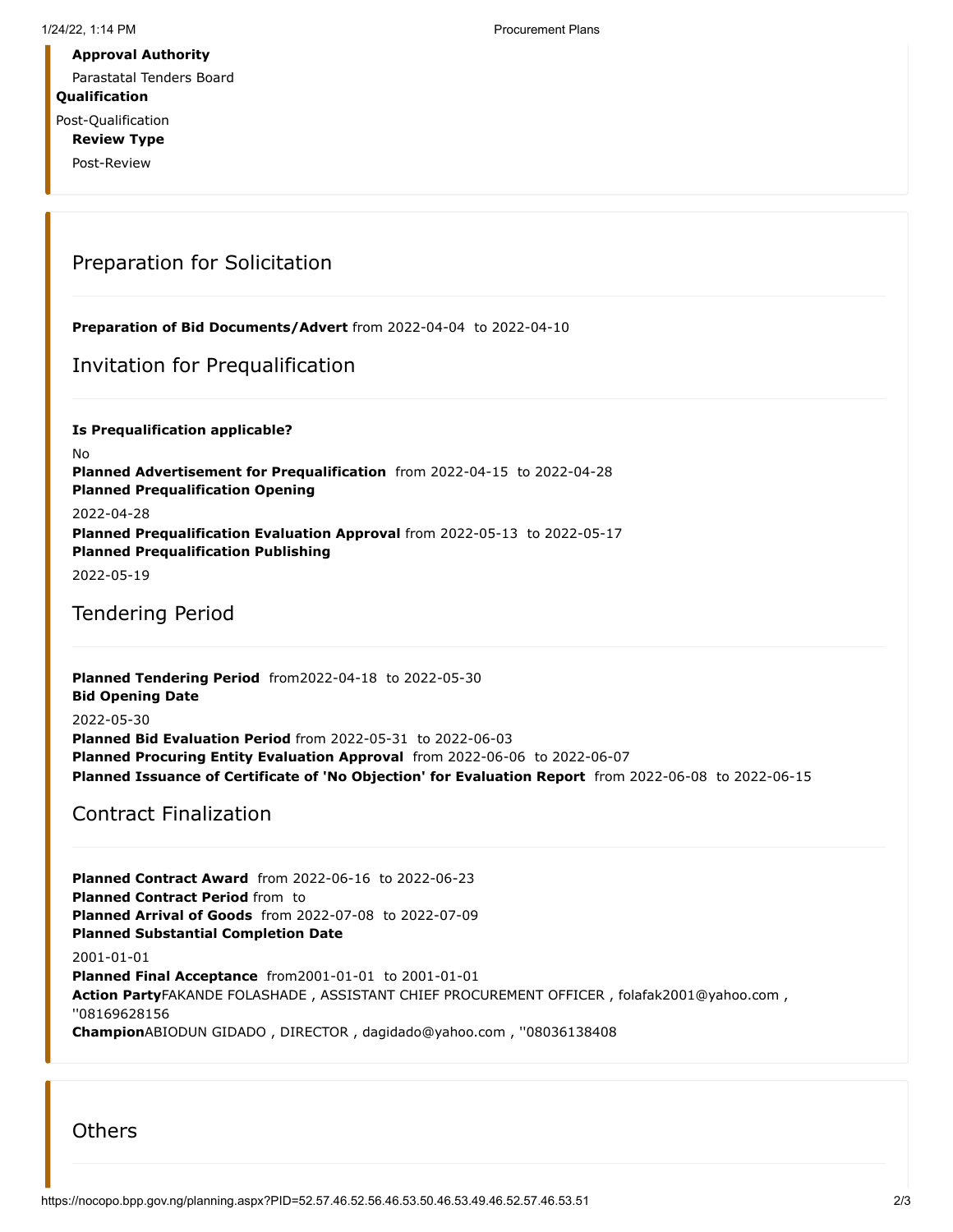Parastatal Tenders Board

**Qualification**

Post-Qualification **Review Type**

Post-Review

## Preparation for Solicitation

**Preparation of Bid Documents/Advert** from 2022-04-04 to 2022-04-10

### Invitation for Prequalification

**Is Prequalification applicable?** No **Planned Advertisement for Prequalification** from 2022-04-15 to 2022-04-28 **Planned Prequalification Opening** 2022-04-28 **Planned Prequalification Evaluation Approval** from 2022-05-13 to 2022-05-17 **Planned Prequalification Publishing**

2022-05-19

### Tendering Period

**Planned Tendering Period** from2022-04-18 to 2022-05-30 **Bid Opening Date**

#### 2022-05-30

**Planned Bid Evaluation Period** from 2022-05-31 to 2022-06-03 **Planned Procuring Entity Evaluation Approval** from 2022-06-06 to 2022-06-07 **Planned Issuance of Certificate of 'No Objection' for Evaluation Report** from 2022-06-08 to 2022-06-15

### Contract Finalization

**Planned Contract Award** from 2022-06-16 to 2022-06-23 **Planned Contract Period** from to **Planned Arrival of Goods** from 2022-07-08 to 2022-07-09 **Planned Substantial Completion Date** 2001-01-01 **Planned Final Acceptance** from2001-01-01 to 2001-01-01 **Action Party**FAKANDE FOLASHADE , ASSISTANT CHIEF PROCUREMENT OFFICER , folafak2001@yahoo.com , ''08169628156 **Champion**ABIODUN GIDADO , DIRECTOR , dagidado@yahoo.com , ''08036138408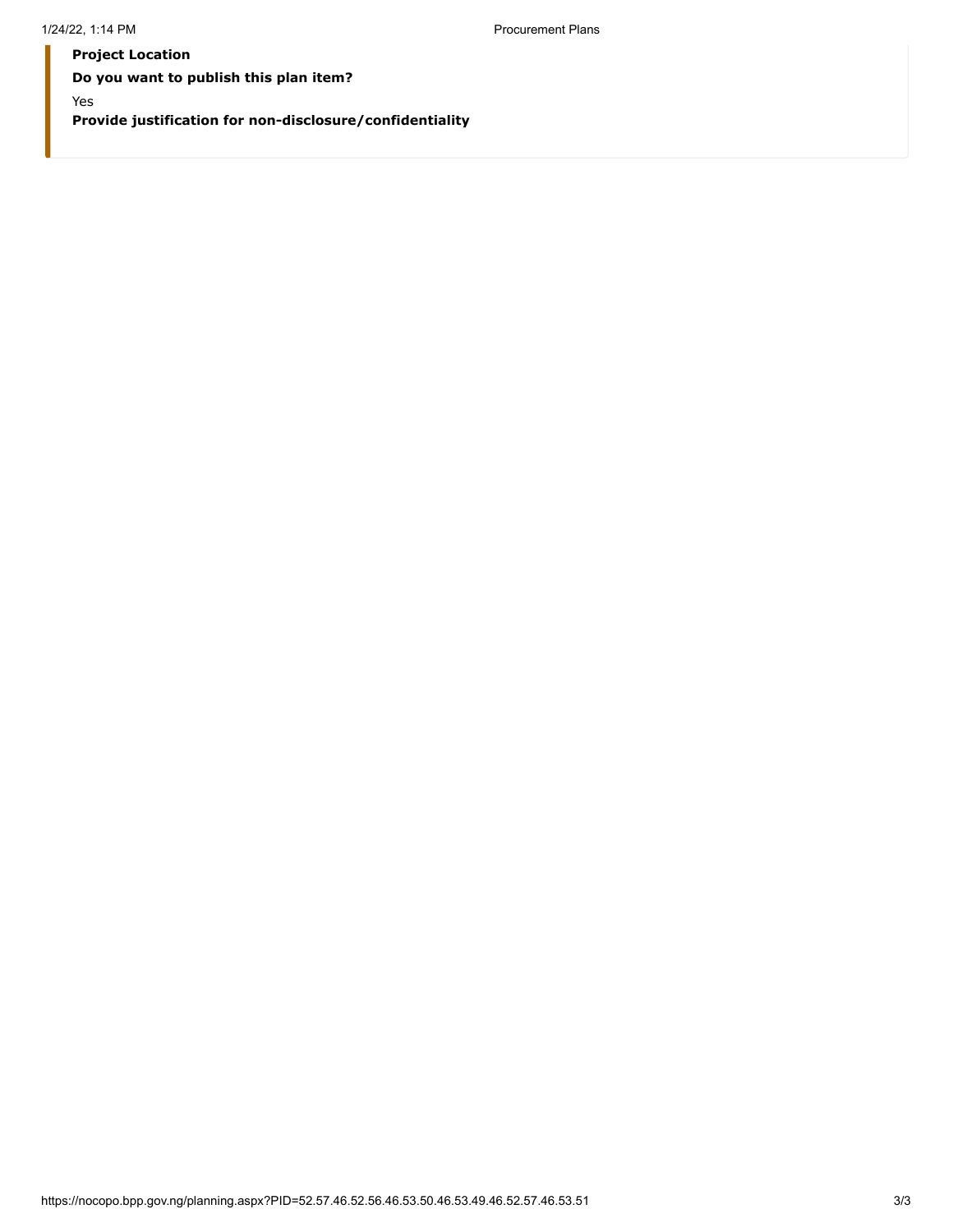**Project Location Do you want to publish this plan item?** Yes **Provide justification for non-disclosure/confidentiality**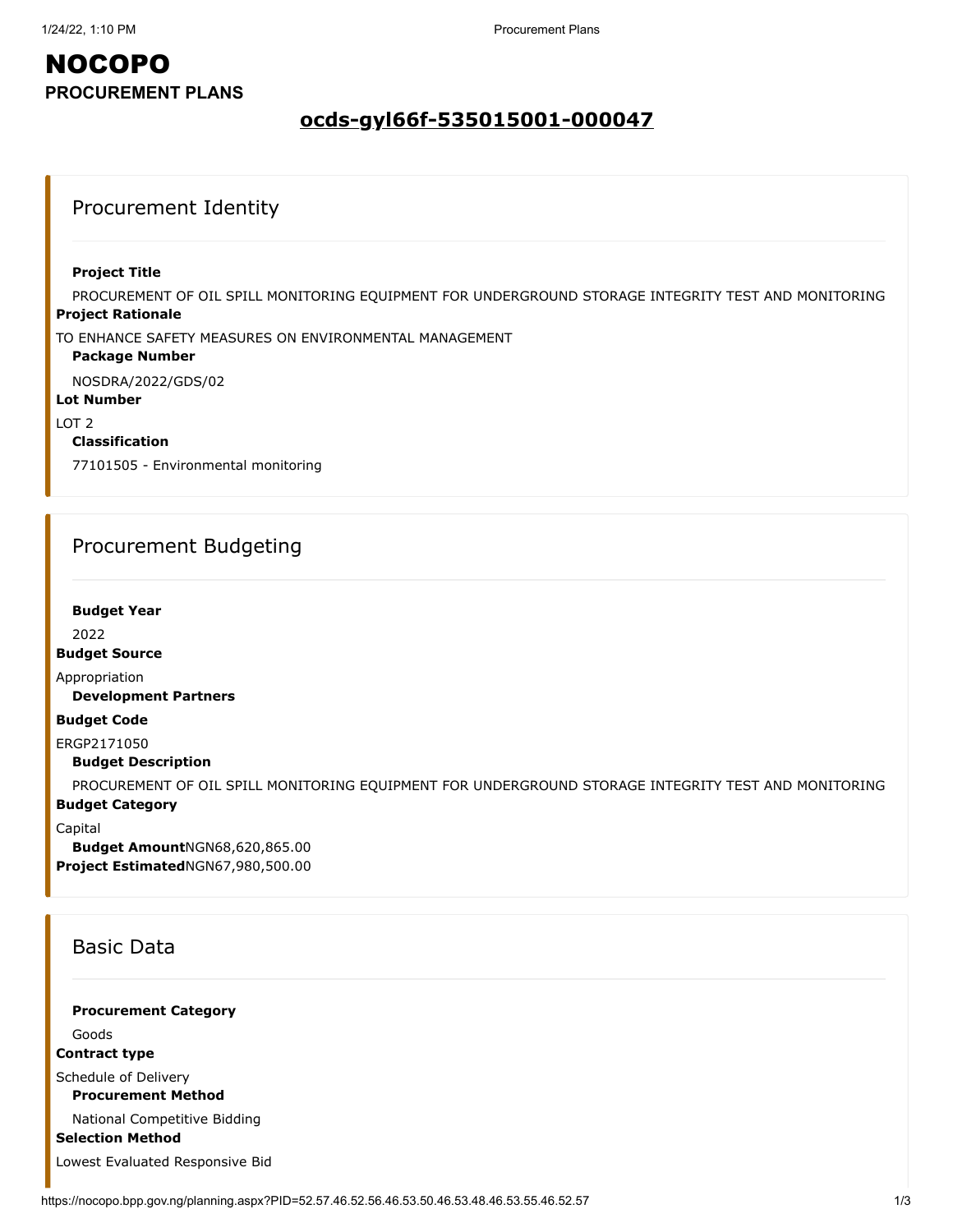### **ocds-gyl66f-535015001-000047**

### Procurement Identity

#### **Project Title**

**Project Rationale** PROCUREMENT OF OIL SPILL MONITORING EQUIPMENT FOR UNDERGROUND STORAGE INTEGRITY TEST AND MONITORING

TO ENHANCE SAFETY MEASURES ON ENVIRONMENTAL MANAGEMENT

#### **Package Number**

NOSDRA/2022/GDS/02

#### **Lot Number**

 $10T$  2

#### **Classification**

77101505 - Environmental monitoring

### Procurement Budgeting

#### **Budget Year**

2022

#### **Budget Source**

Appropriation

**Development Partners**

#### **Budget Code**

ERGP2171050

#### **Budget Description**

**Budget Category** PROCUREMENT OF OIL SPILL MONITORING EQUIPMENT FOR UNDERGROUND STORAGE INTEGRITY TEST AND MONITORING

Capital

**Budget Amount**NGN68,620,865.00 **Project Estimated**NGN67,980,500.00

### Basic Data

**Procurement Category**

Goods

**Contract type**

Schedule of Delivery

**Procurement Method**

National Competitive Bidding

**Selection Method**

Lowest Evaluated Responsive Bid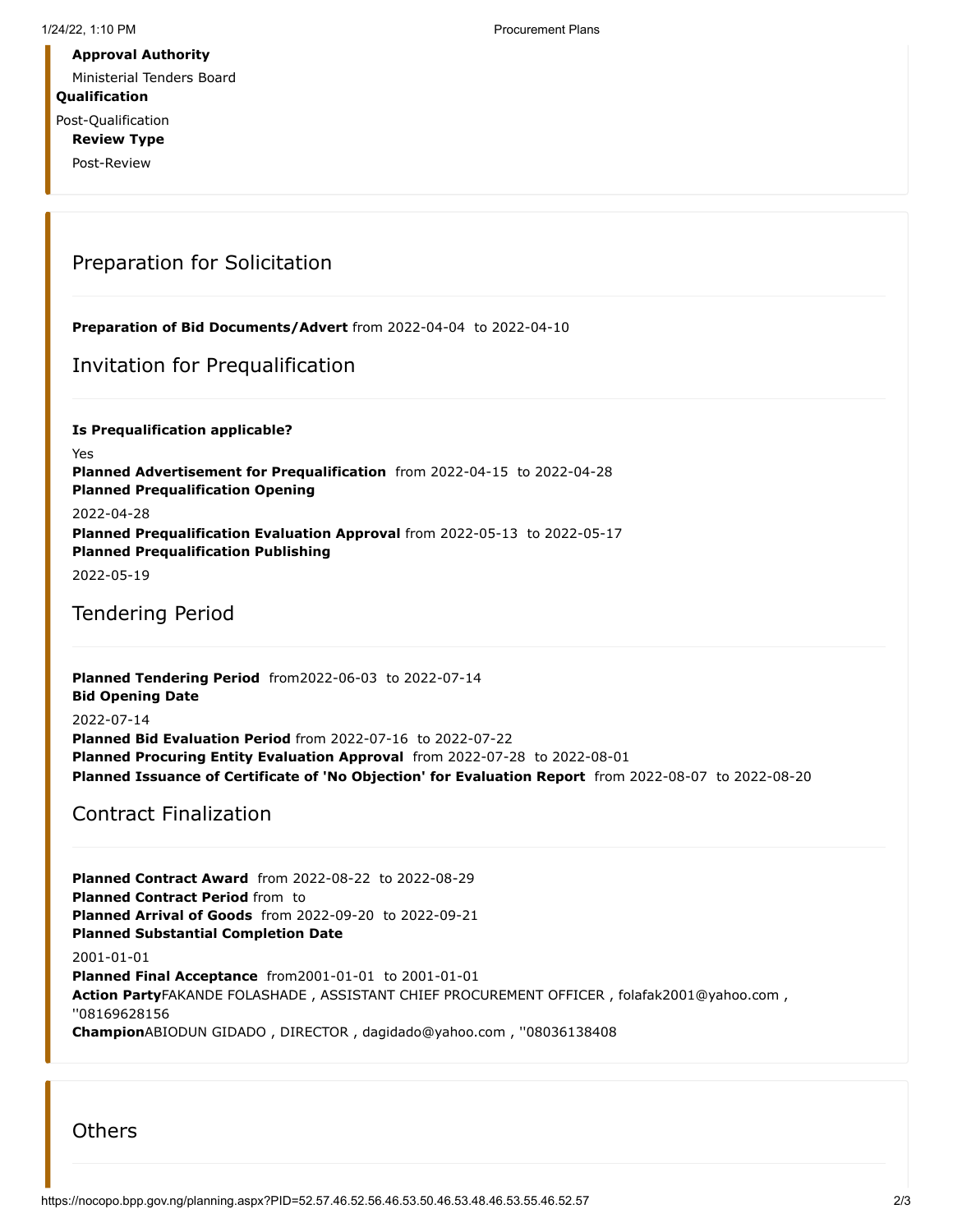Ministerial Tenders Board

#### **Qualification**

Post-Qualification **Review Type**

Post-Review

## Preparation for Solicitation

**Preparation of Bid Documents/Advert** from 2022-04-04 to 2022-04-10

### Invitation for Prequalification

**Is Prequalification applicable?** Yes **Planned Advertisement for Prequalification** from 2022-04-15 to 2022-04-28 **Planned Prequalification Opening** 2022-04-28 **Planned Prequalification Evaluation Approval** from 2022-05-13 to 2022-05-17 **Planned Prequalification Publishing**

2022-05-19

### Tendering Period

**Planned Tendering Period** from2022-06-03 to 2022-07-14 **Bid Opening Date**

#### 2022-07-14

**Planned Bid Evaluation Period** from 2022-07-16 to 2022-07-22 **Planned Procuring Entity Evaluation Approval** from 2022-07-28 to 2022-08-01 **Planned Issuance of Certificate of 'No Objection' for Evaluation Report** from 2022-08-07 to 2022-08-20

### Contract Finalization

**Planned Contract Award** from 2022-08-22 to 2022-08-29 **Planned Contract Period** from to **Planned Arrival of Goods** from 2022-09-20 to 2022-09-21 **Planned Substantial Completion Date** 2001-01-01 **Planned Final Acceptance** from2001-01-01 to 2001-01-01 **Action Party**FAKANDE FOLASHADE , ASSISTANT CHIEF PROCUREMENT OFFICER , folafak2001@yahoo.com , ''08169628156 **Champion**ABIODUN GIDADO , DIRECTOR , dagidado@yahoo.com , ''08036138408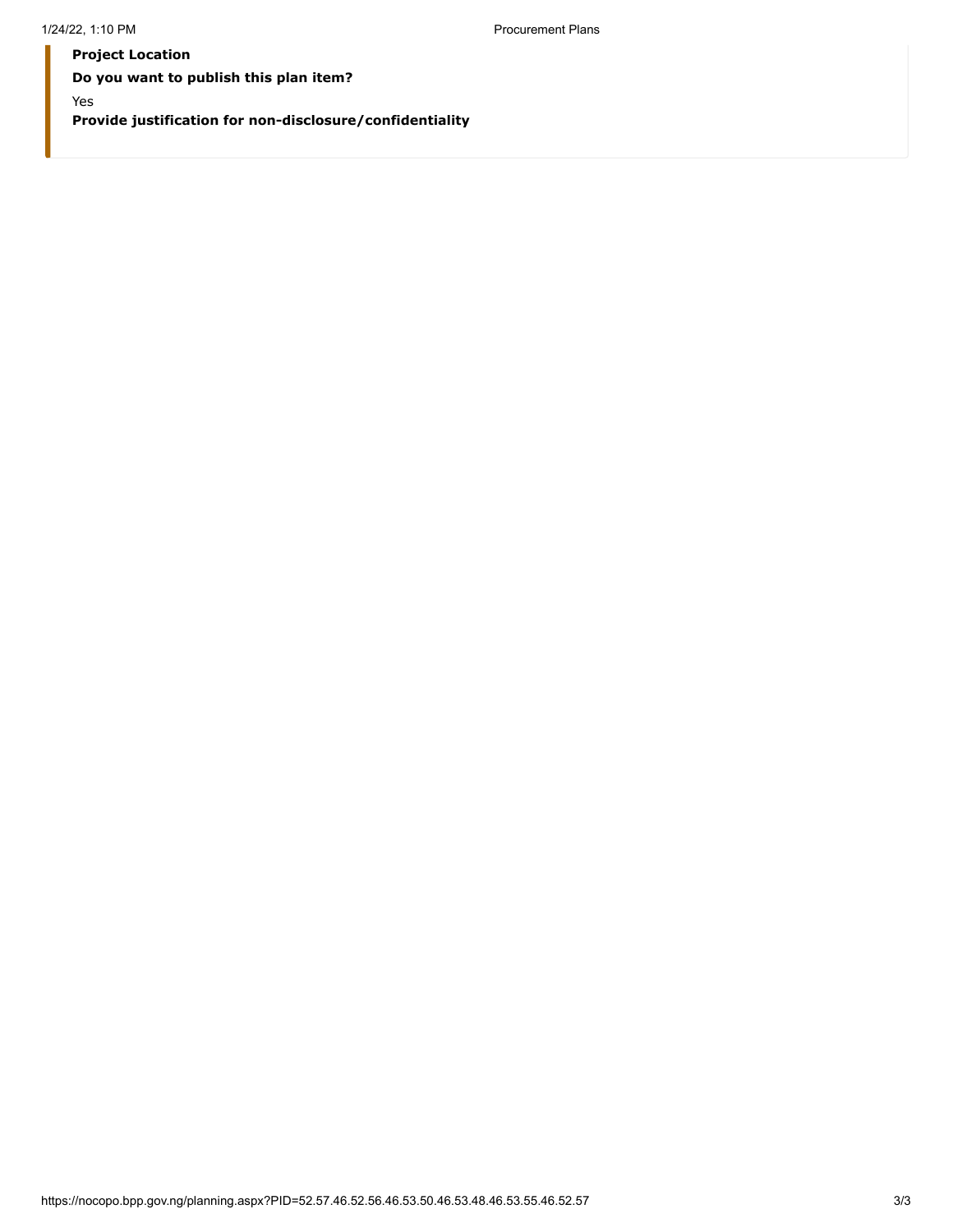**Project Location Do you want to publish this plan item?** Yes **Provide justification for non-disclosure/confidentiality**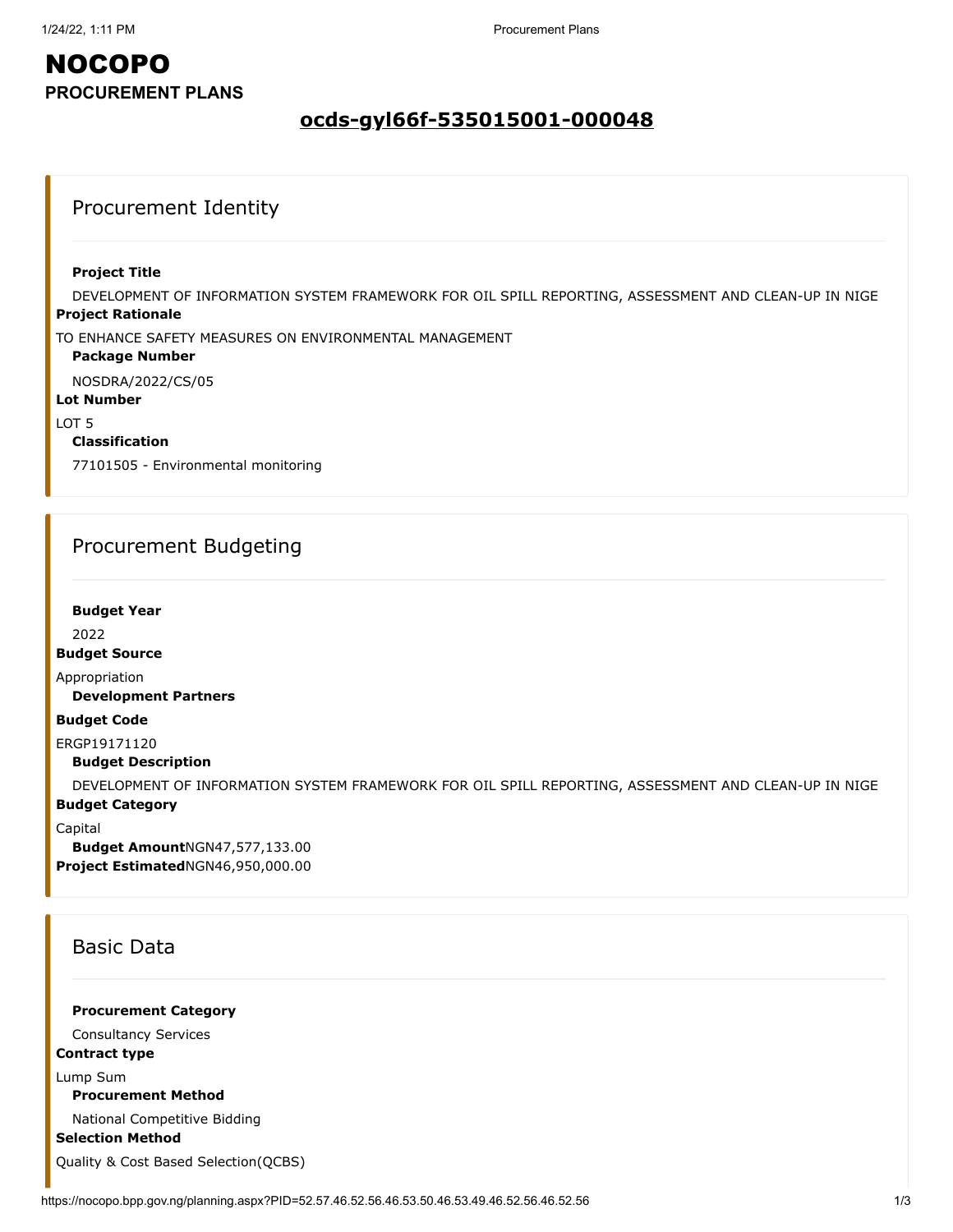### **ocds-gyl66f-535015001-000048**

### Procurement Identity

#### **Project Title**

**Project Rationale** DEVELOPMENT OF INFORMATION SYSTEM FRAMEWORK FOR OIL SPILL REPORTING, ASSESSMENT AND CLEAN-UP IN NIGE

TO ENHANCE SAFETY MEASURES ON ENVIRONMENTAL MANAGEMENT

#### **Package Number**

NOSDRA/2022/CS/05

#### **Lot Number**

LOT 5

#### **Classification**

77101505 - Environmental monitoring

### Procurement Budgeting

#### **Budget Year**

2022

#### **Budget Source**

Appropriation

**Development Partners**

#### **Budget Code**

ERGP19171120

**Budget Description**

DEVELOPMENT OF INFORMATION SYSTEM FRAMEWORK FOR OIL SPILL REPORTING, ASSESSMENT AND CLEAN-UP IN NIGE

#### **Budget Category**

Capital

**Budget Amount**NGN47,577,133.00 **Project Estimated**NGN46,950,000.00

### Basic Data

**Procurement Category**

Consultancy Services

#### **Contract type**

Lump Sum

**Procurement Method**

National Competitive Bidding

**Selection Method**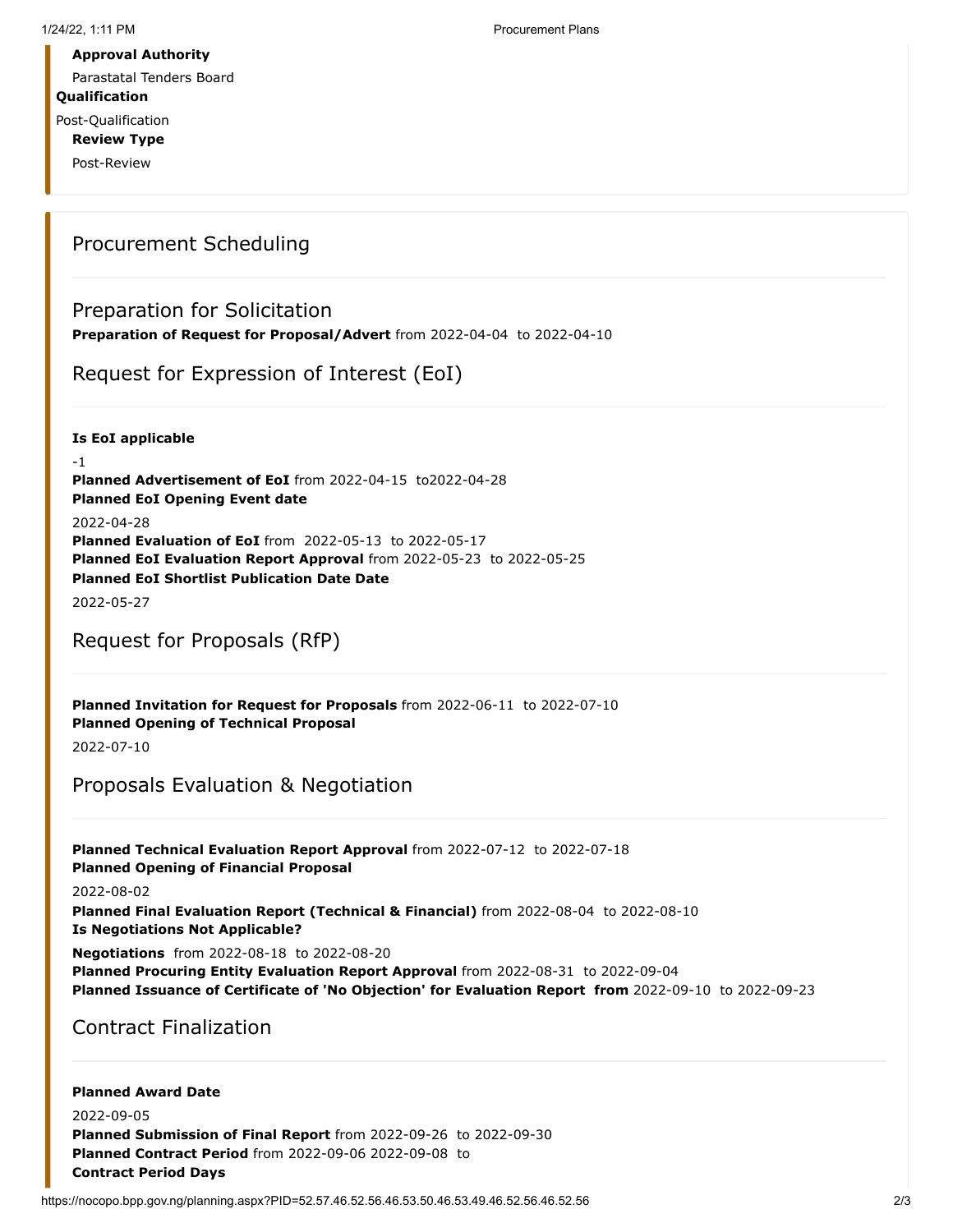Parastatal Tenders Board

**Qualification**

Post-Qualification **Review Type**

Post-Review

### Procurement Scheduling

### Preparation for Solicitation

**Preparation of Request for Proposal/Advert** from 2022-04-04 to 2022-04-10

Request for Expression of Interest (EoI)

**Is EoI applicable**

-1 **Planned Advertisement of EoI** from 2022-04-15 to2022-04-28 **Planned EoI Opening Event date** 2022-04-28 **Planned Evaluation of EoI** from 2022-05-13 to 2022-05-17 **Planned EoI Evaluation Report Approval** from 2022-05-23 to 2022-05-25 **Planned EoI Shortlist Publication Date Date**

2022-05-27

### Request for Proposals (RfP)

**Planned Invitation for Request for Proposals** from 2022-06-11 to 2022-07-10 **Planned Opening of Technical Proposal**

2022-07-10

### Proposals Evaluation & Negotiation

**Planned Technical Evaluation Report Approval** from 2022-07-12 to 2022-07-18 **Planned Opening of Financial Proposal**

2022-08-02

**Planned Final Evaluation Report (Technical & Financial)** from 2022-08-04 to 2022-08-10 **Is Negotiations Not Applicable?**

**Negotiations** from 2022-08-18 to 2022-08-20

**Planned Procuring Entity Evaluation Report Approval** from 2022-08-31 to 2022-09-04 **Planned Issuance of Certificate of 'No Objection' for Evaluation Report from** 2022-09-10 to 2022-09-23

Contract Finalization

#### **Planned Award Date** 2022-09-05 **Planned Submission of Final Report** from 2022-09-26 to 2022-09-30 **Planned Contract Period** from 2022-09-06 2022-09-08 to **Contract Period Days**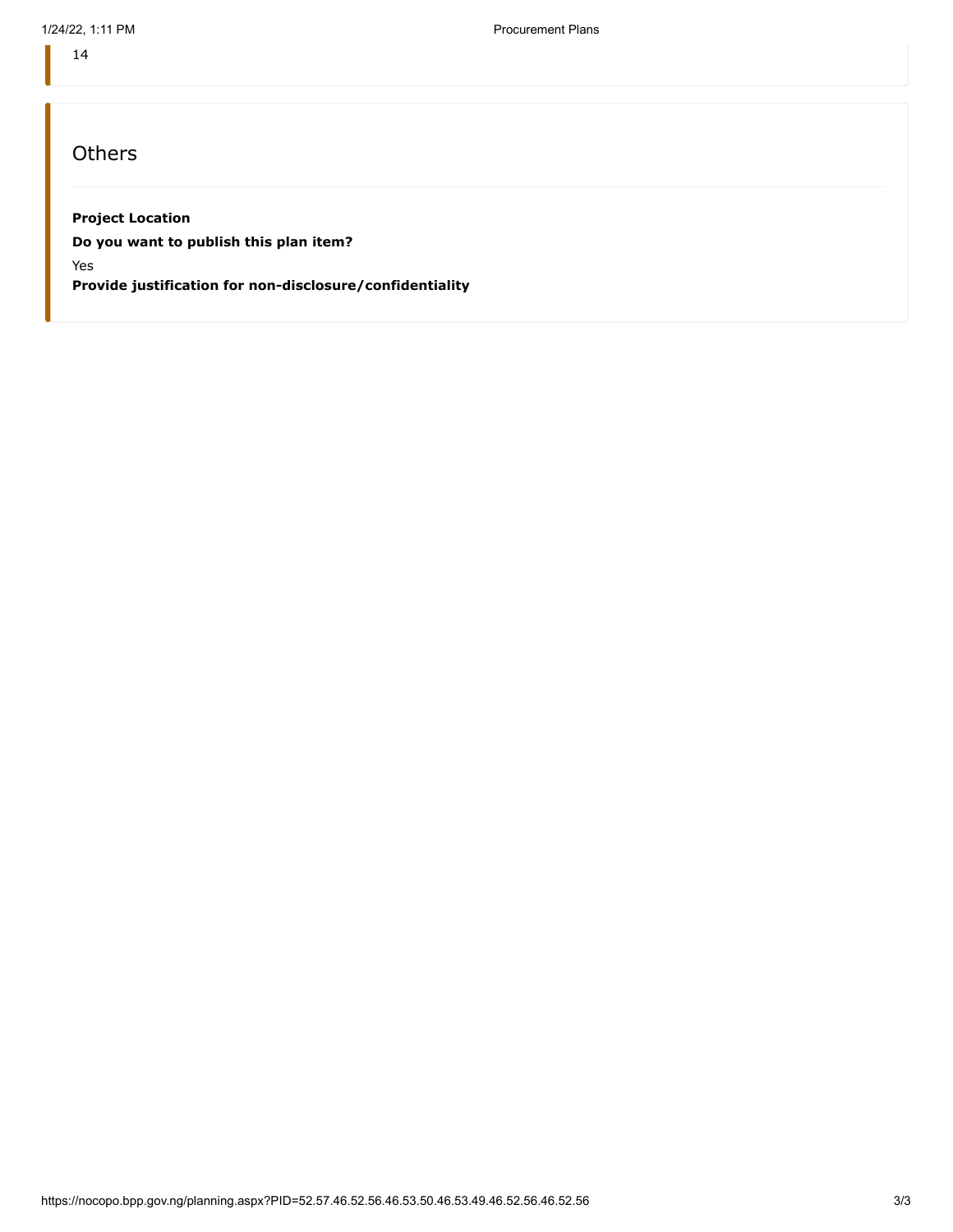14

## **Others**

#### **Project Location**

**Do you want to publish this plan item?**

Yes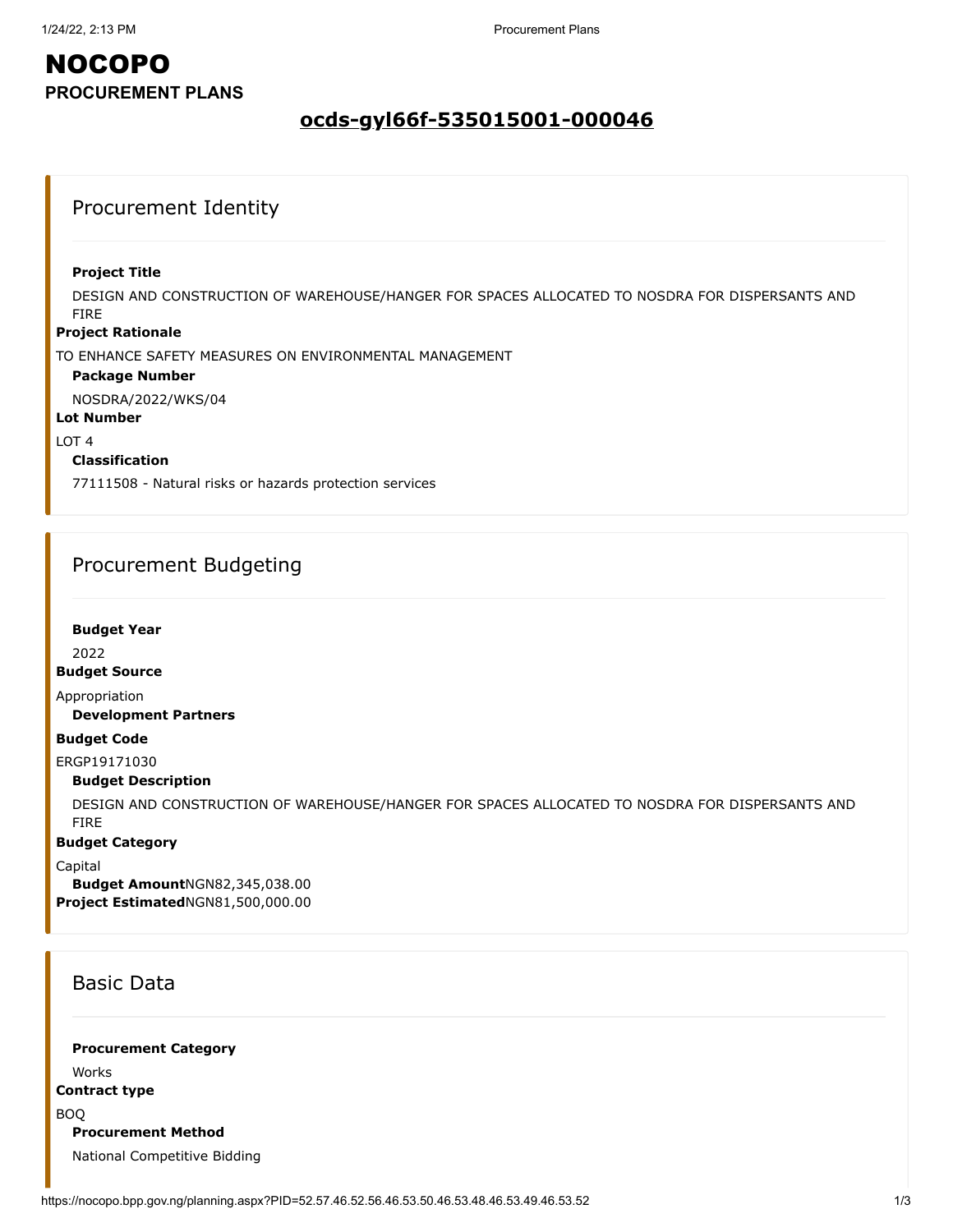### **ocds-gyl66f-535015001-000046**

### Procurement Identity

#### **Project Title**

DESIGN AND CONSTRUCTION OF WAREHOUSE/HANGER FOR SPACES ALLOCATED TO NOSDRA FOR DISPERSANTS AND FIRE

#### **Project Rationale**

TO ENHANCE SAFETY MEASURES ON ENVIRONMENTAL MANAGEMENT

#### **Package Number**

NOSDRA/2022/WKS/04

**Lot Number**

#### LOT 4

#### **Classification**

77111508 - Natural risks or hazards protection services

### Procurement Budgeting

#### **Budget Year**

2022

#### **Budget Source**

Appropriation

#### **Development Partners**

#### **Budget Code**

ERGP19171030

#### **Budget Description**

DESIGN AND CONSTRUCTION OF WAREHOUSE/HANGER FOR SPACES ALLOCATED TO NOSDRA FOR DISPERSANTS AND FIRE

#### **Budget Category**

Capital

**Budget Amount**NGN82,345,038.00 **Project Estimated**NGN81,500,000.00

### Basic Data

### **Procurement Category**

Works

### **Contract type**

BOQ

#### **Procurement Method**

National Competitive Bidding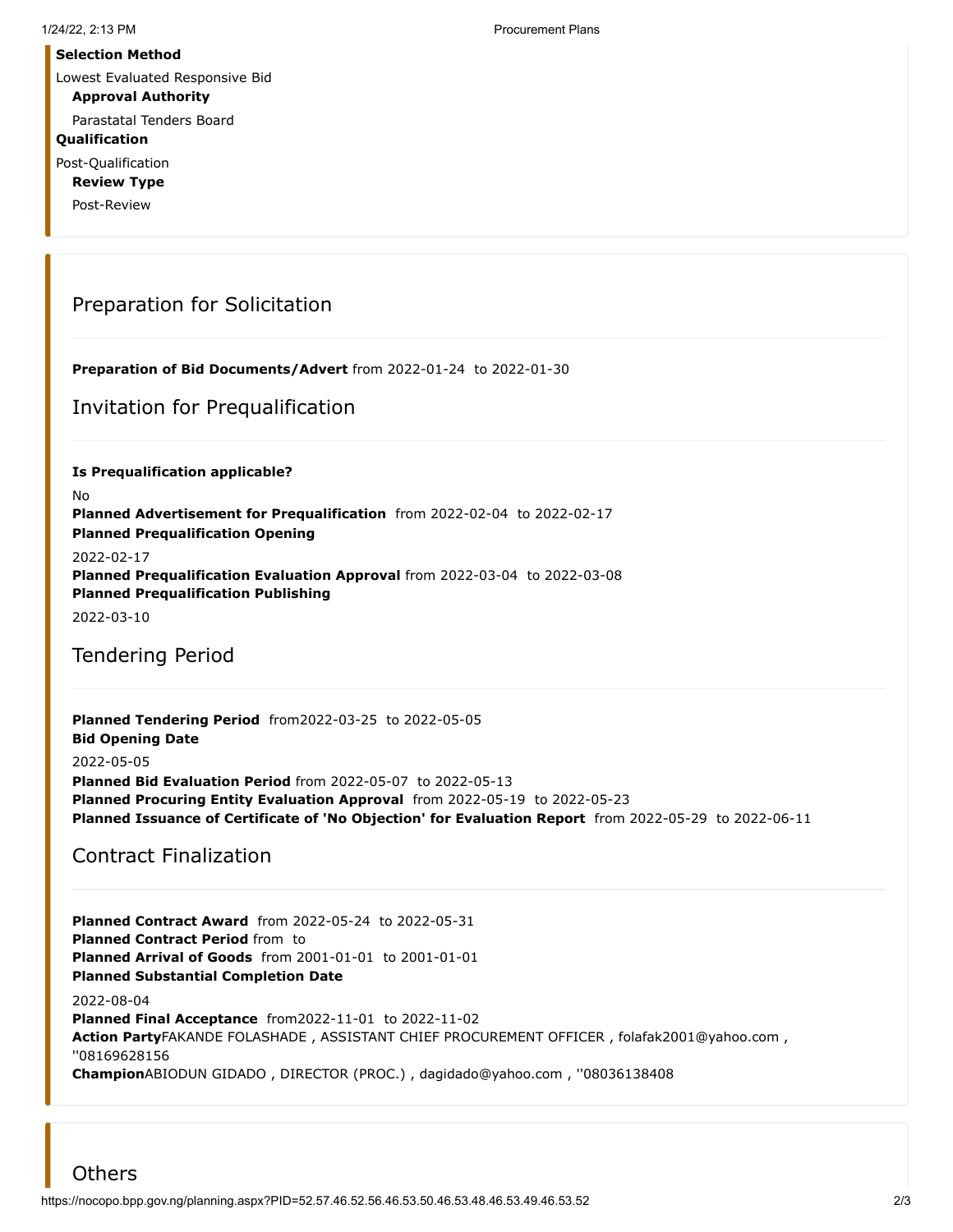#### **Selection Method**

Lowest Evaluated Responsive Bid

### **Approval Authority**

Parastatal Tenders Board

#### **Qualification**

Post-Qualification

**Review Type**

Post-Review

### Preparation for Solicitation

**Preparation of Bid Documents/Advert** from 2022-01-24 to 2022-01-30

Invitation for Prequalification

**Is Prequalification applicable?**

No

**Planned Advertisement for Prequalification** from 2022-02-04 to 2022-02-17 **Planned Prequalification Opening**

2022-02-17

**Planned Prequalification Evaluation Approval** from 2022-03-04 to 2022-03-08 **Planned Prequalification Publishing**

2022-03-10

Tendering Period

**Planned Tendering Period** from2022-03-25 to 2022-05-05 **Bid Opening Date** 2022-05-05 **Planned Bid Evaluation Period** from 2022-05-07 to 2022-05-13 **Planned Procuring Entity Evaluation Approval** from 2022-05-19 to 2022-05-23 **Planned Issuance of Certificate of 'No Objection' for Evaluation Report** from 2022-05-29 to 2022-06-11

### Contract Finalization

**Planned Contract Award** from 2022-05-24 to 2022-05-31 **Planned Contract Period** from to **Planned Arrival of Goods** from 2001-01-01 to 2001-01-01 **Planned Substantial Completion Date** 2022-08-04 **Planned Final Acceptance** from2022-11-01 to 2022-11-02 **Action Party**FAKANDE FOLASHADE , ASSISTANT CHIEF PROCUREMENT OFFICER , folafak2001@yahoo.com , ''08169628156

**Champion**ABIODUN GIDADO , DIRECTOR (PROC.) , dagidado@yahoo.com , ''08036138408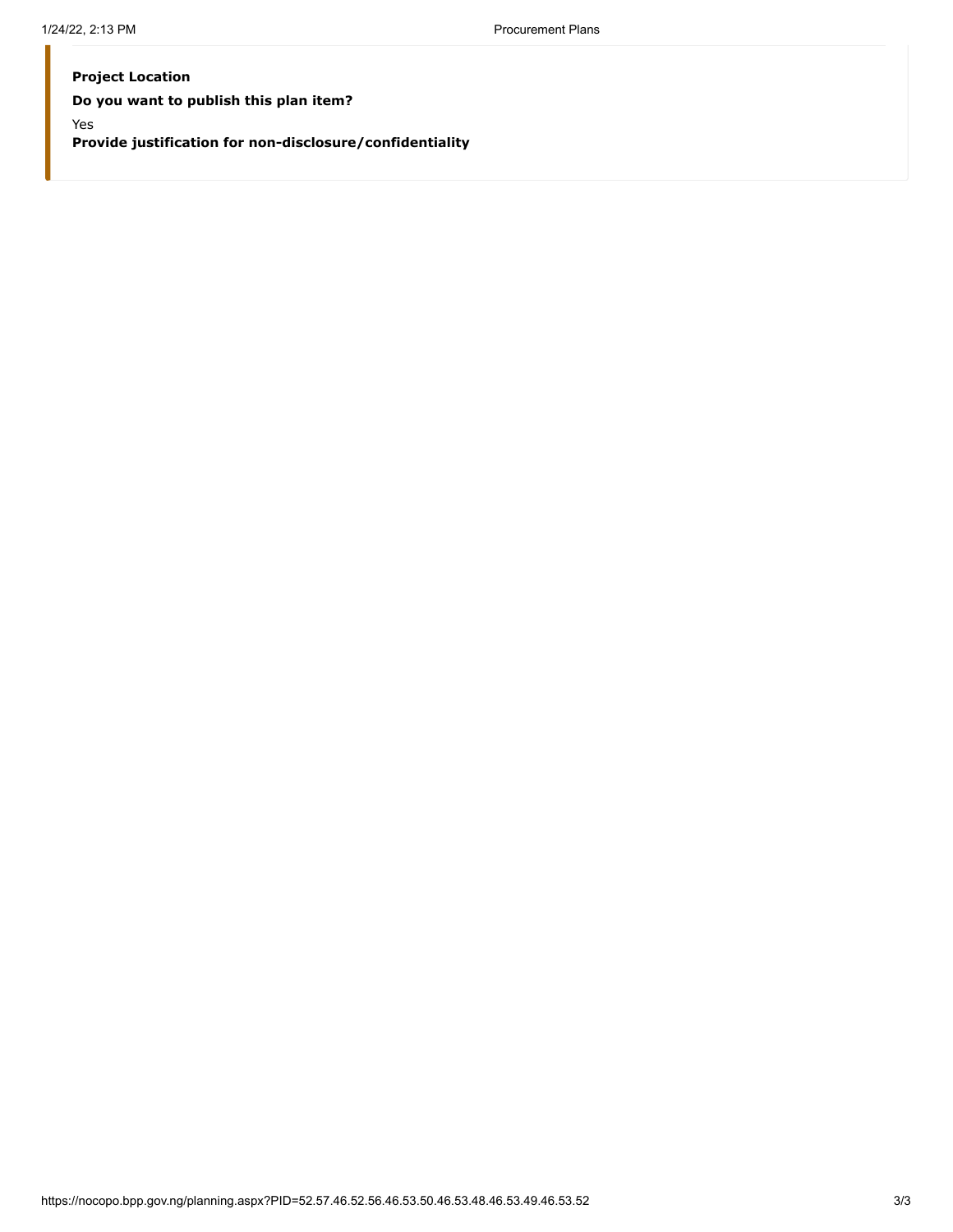#### **Project Location**

**Do you want to publish this plan item?**

Yes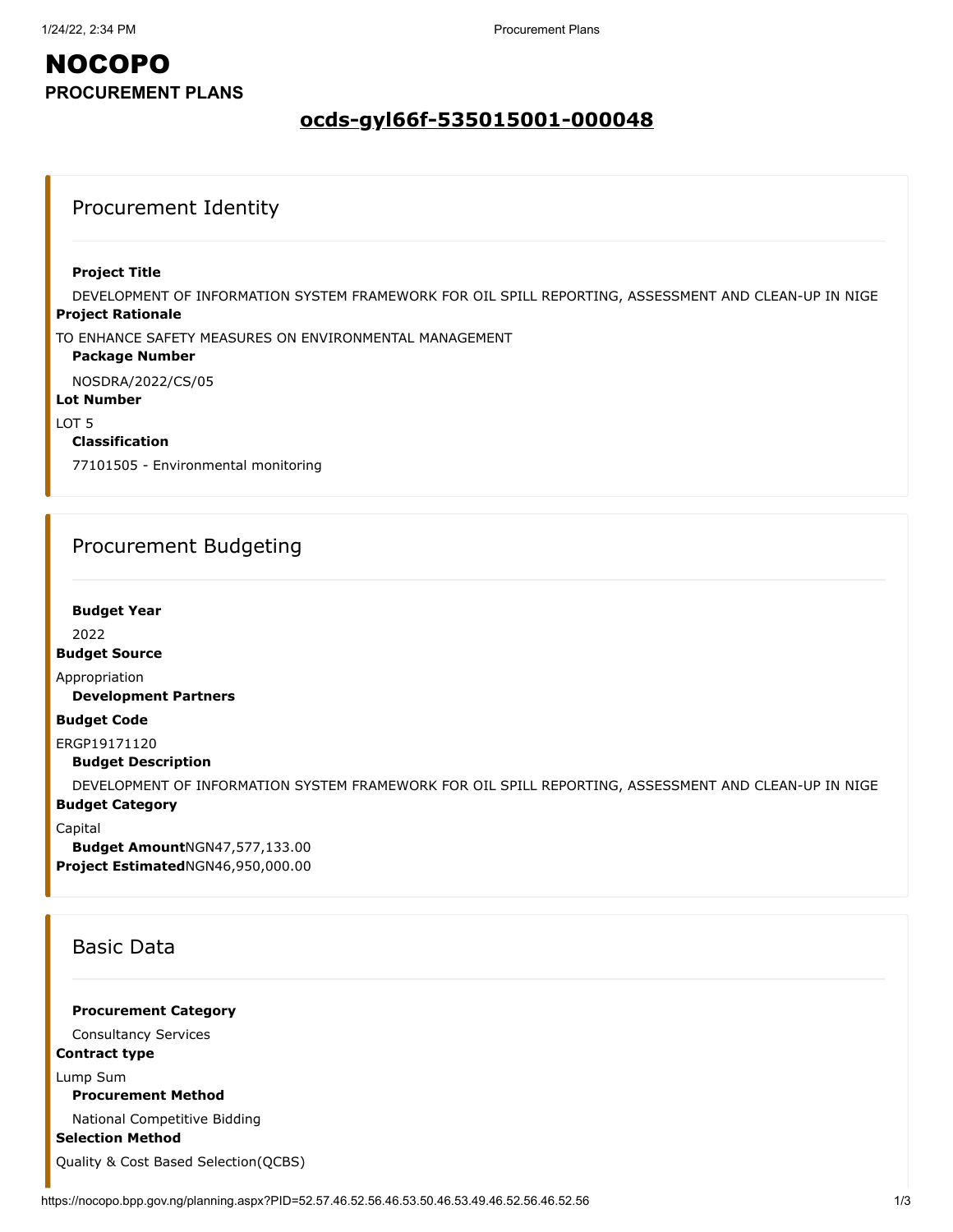### **ocds-gyl66f-535015001-000048**

### Procurement Identity

#### **Project Title**

**Project Rationale** DEVELOPMENT OF INFORMATION SYSTEM FRAMEWORK FOR OIL SPILL REPORTING, ASSESSMENT AND CLEAN-UP IN NIGE

TO ENHANCE SAFETY MEASURES ON ENVIRONMENTAL MANAGEMENT

#### **Package Number**

NOSDRA/2022/CS/05

#### **Lot Number**

LOT 5

#### **Classification**

77101505 - Environmental monitoring

### Procurement Budgeting

#### **Budget Year**

2022

#### **Budget Source**

Appropriation

**Development Partners**

#### **Budget Code**

ERGP19171120

**Budget Description**

DEVELOPMENT OF INFORMATION SYSTEM FRAMEWORK FOR OIL SPILL REPORTING, ASSESSMENT AND CLEAN-UP IN NIGE

#### **Budget Category**

Capital

**Budget Amount**NGN47,577,133.00 **Project Estimated**NGN46,950,000.00

### Basic Data

#### **Procurement Category**

Consultancy Services

### **Contract type**

Lump Sum

### **Procurement Method**

National Competitive Bidding

**Selection Method**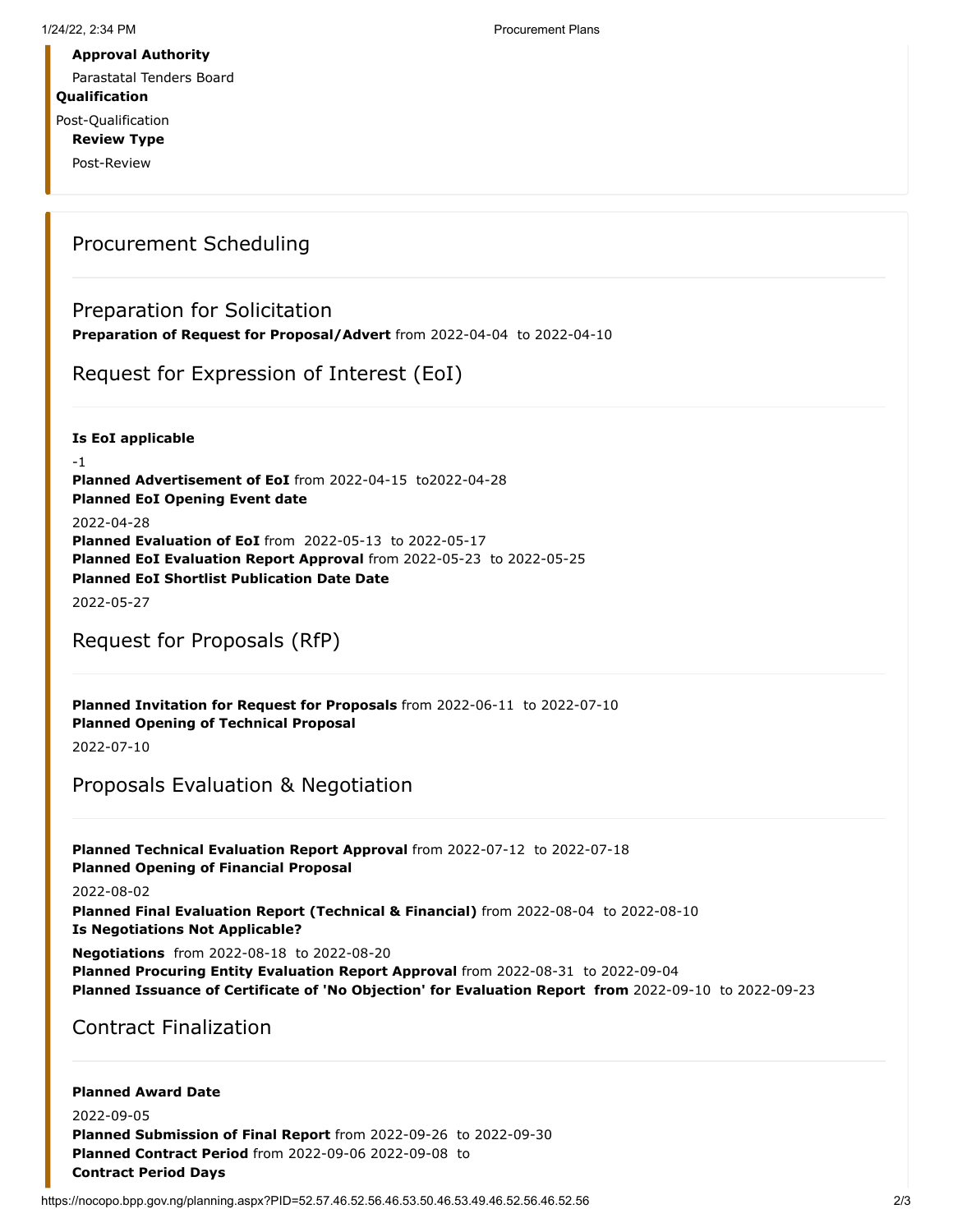Parastatal Tenders Board

**Qualification**

Post-Qualification **Review Type**

Post-Review

### Procurement Scheduling

### Preparation for Solicitation

**Preparation of Request for Proposal/Advert** from 2022-04-04 to 2022-04-10

Request for Expression of Interest (EoI)

**Is EoI applicable**

-1 **Planned Advertisement of EoI** from 2022-04-15 to2022-04-28 **Planned EoI Opening Event date** 2022-04-28 **Planned Evaluation of EoI** from 2022-05-13 to 2022-05-17 **Planned EoI Evaluation Report Approval** from 2022-05-23 to 2022-05-25 **Planned EoI Shortlist Publication Date Date**

2022-05-27

### Request for Proposals (RfP)

**Planned Invitation for Request for Proposals** from 2022-06-11 to 2022-07-10 **Planned Opening of Technical Proposal**

2022-07-10

## Proposals Evaluation & Negotiation

**Planned Technical Evaluation Report Approval** from 2022-07-12 to 2022-07-18 **Planned Opening of Financial Proposal**

2022-08-02

**Planned Final Evaluation Report (Technical & Financial)** from 2022-08-04 to 2022-08-10 **Is Negotiations Not Applicable?**

**Negotiations** from 2022-08-18 to 2022-08-20

**Planned Procuring Entity Evaluation Report Approval** from 2022-08-31 to 2022-09-04 **Planned Issuance of Certificate of 'No Objection' for Evaluation Report from** 2022-09-10 to 2022-09-23

Contract Finalization

#### **Planned Award Date** 2022-09-05 **Planned Submission of Final Report** from 2022-09-26 to 2022-09-30 **Planned Contract Period** from 2022-09-06 2022-09-08 to **Contract Period Days**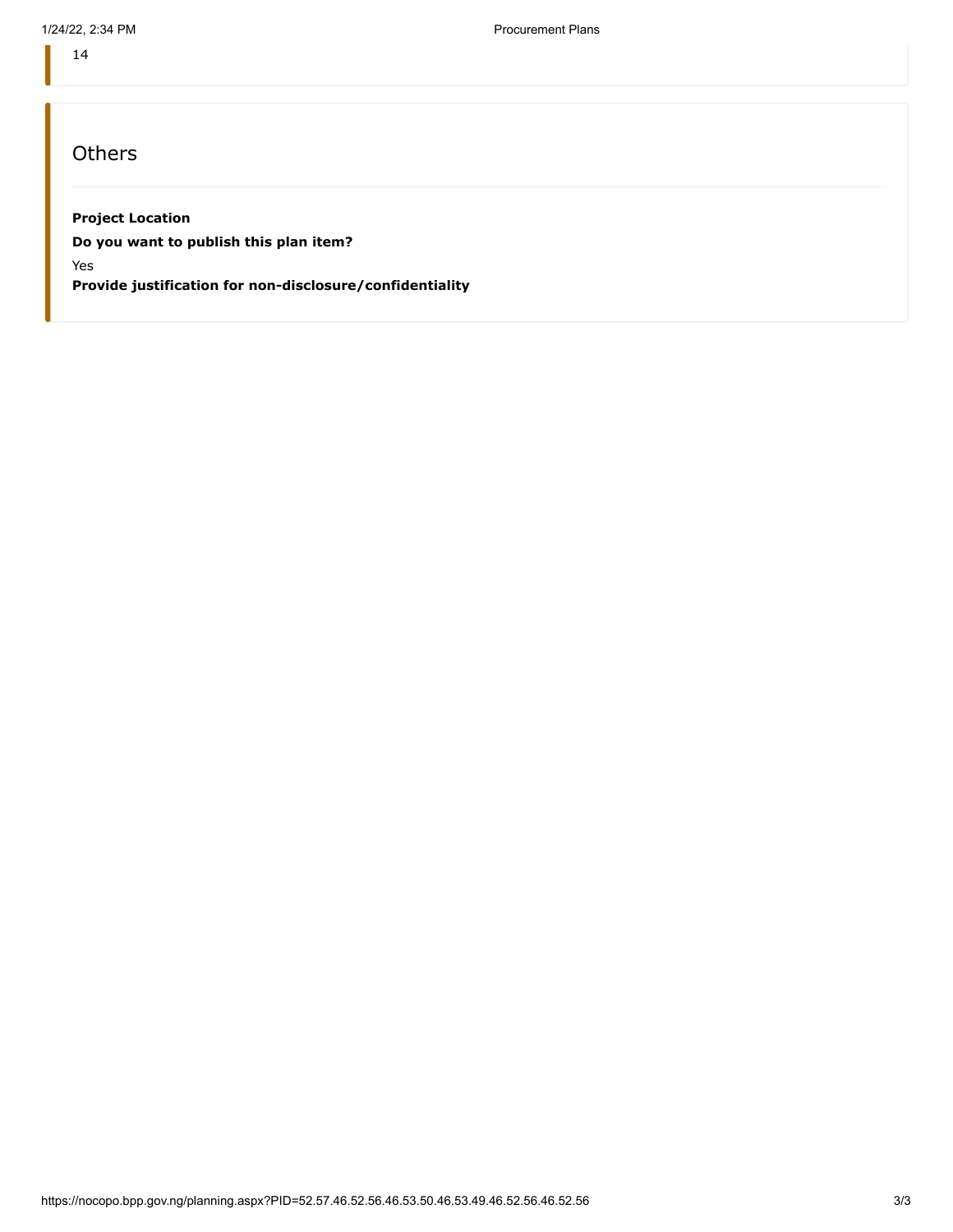14

## **Others**

#### **Project Location**

**Do you want to publish this plan item?**

Yes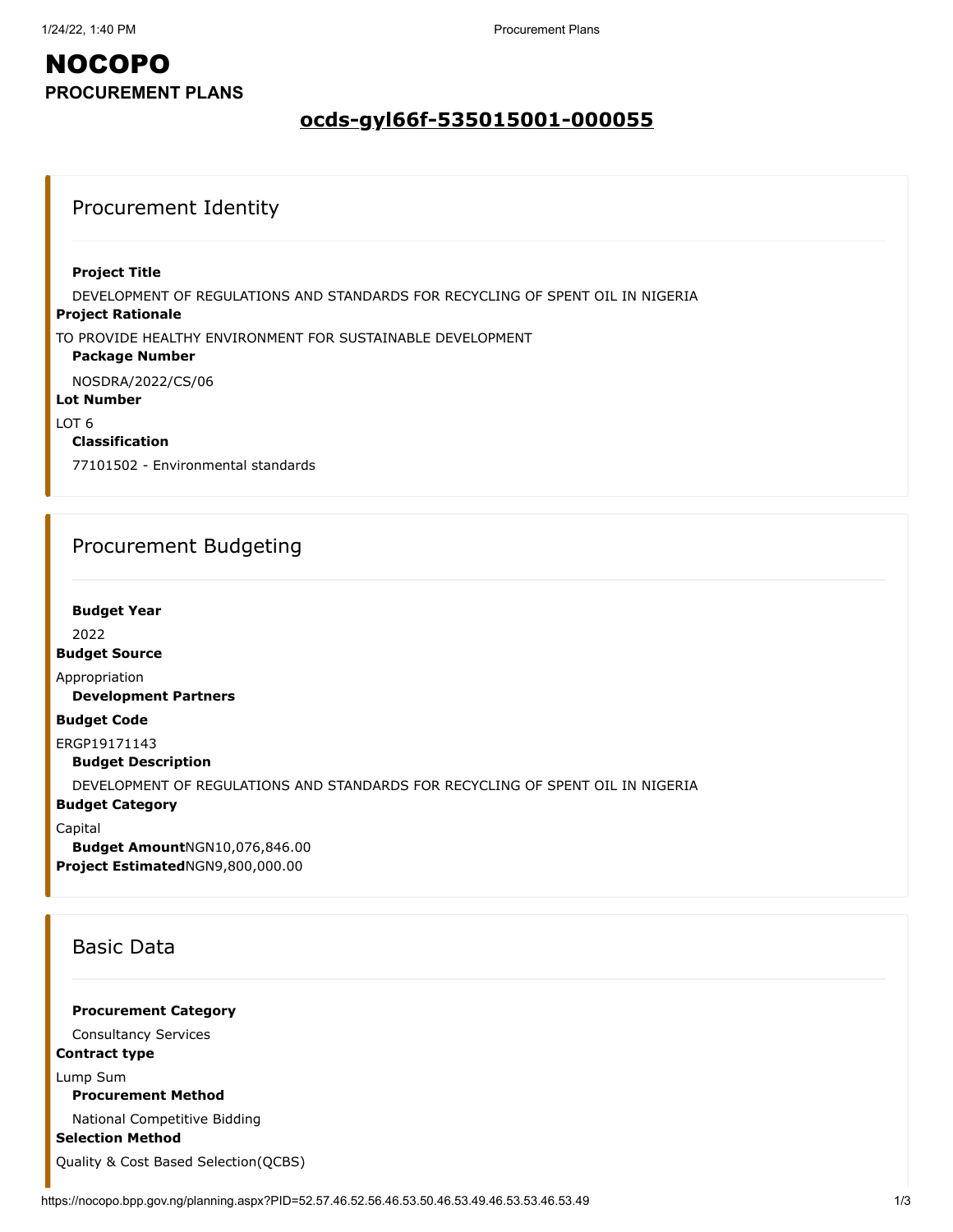### **ocds-gyl66f-535015001-000055**

### Procurement Identity

#### **Project Title**

DEVELOPMENT OF REGULATIONS AND STANDARDS FOR RECYCLING OF SPENT OIL IN NIGERIA

#### **Project Rationale**

TO PROVIDE HEALTHY ENVIRONMENT FOR SUSTAINABLE DEVELOPMENT

#### **Package Number**

NOSDRA/2022/CS/06

#### **Lot Number**

LOT 6

#### **Classification**

77101502 - Environmental standards

### Procurement Budgeting

#### **Budget Year**

2022

#### **Budget Source**

Appropriation

**Development Partners**

#### **Budget Code**

ERGP19171143

**Budget Description**

DEVELOPMENT OF REGULATIONS AND STANDARDS FOR RECYCLING OF SPENT OIL IN NIGERIA

#### **Budget Category**

Capital

**Budget Amount**NGN10,076,846.00 **Project Estimated**NGN9,800,000.00

### Basic Data

#### **Procurement Category**

Consultancy Services

### **Contract type**

Lump Sum

### **Procurement Method**

National Competitive Bidding

#### **Selection Method**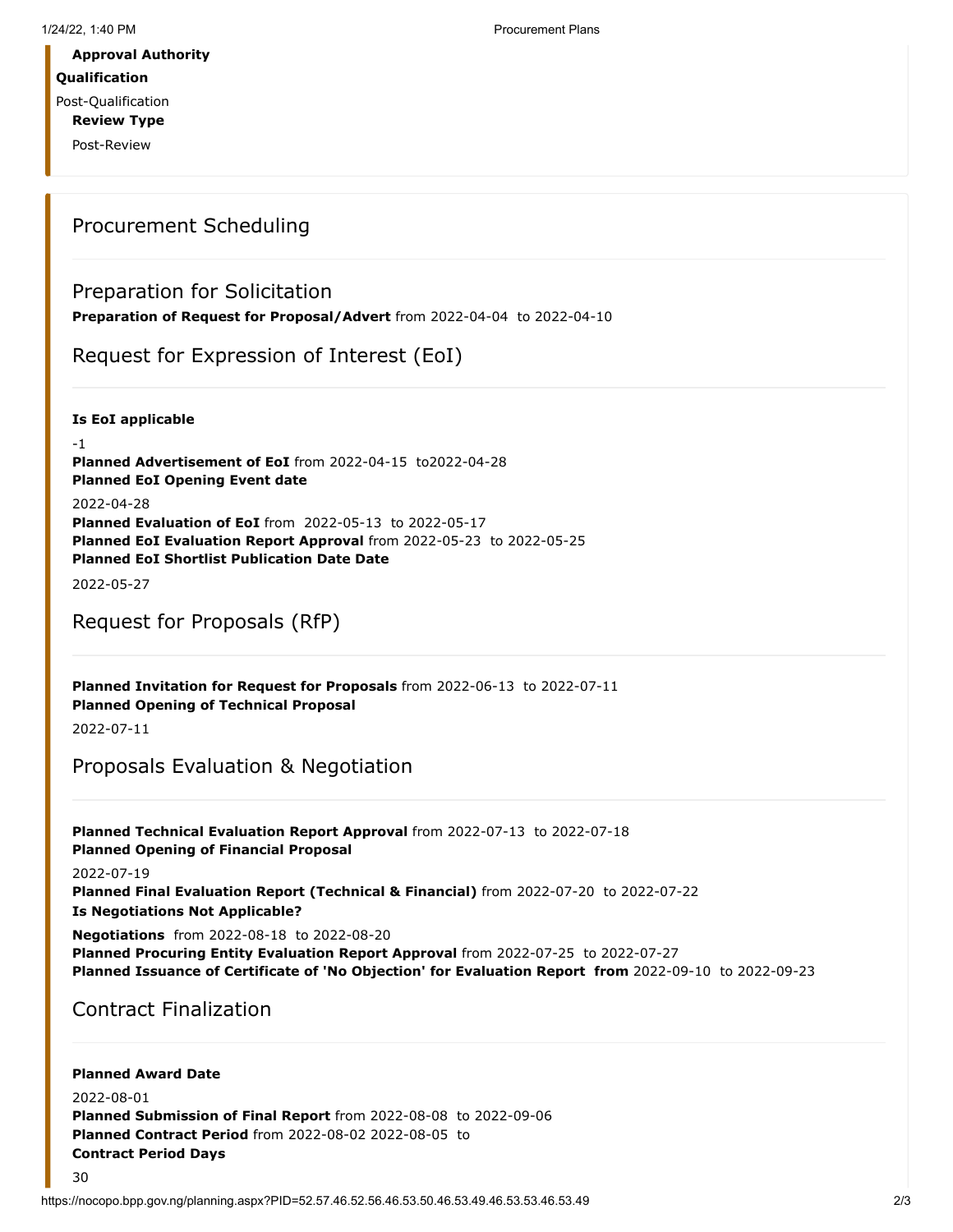### **Qualification**

Post-Qualification

**Review Type**

Post-Review

### Procurement Scheduling

### Preparation for Solicitation

**Preparation of Request for Proposal/Advert** from 2022-04-04 to 2022-04-10

### Request for Expression of Interest (EoI)

**Is EoI applicable**

-1 **Planned Advertisement of EoI** from 2022-04-15 to2022-04-28 **Planned EoI Opening Event date** 2022-04-28 **Planned Evaluation of EoI** from 2022-05-13 to 2022-05-17 **Planned EoI Evaluation Report Approval** from 2022-05-23 to 2022-05-25 **Planned EoI Shortlist Publication Date Date**

2022-05-27

### Request for Proposals (RfP)

**Planned Invitation for Request for Proposals** from 2022-06-13 to 2022-07-11 **Planned Opening of Technical Proposal**

2022-07-11

### Proposals Evaluation & Negotiation

**Planned Technical Evaluation Report Approval** from 2022-07-13 to 2022-07-18 **Planned Opening of Financial Proposal**

2022-07-19

**Planned Final Evaluation Report (Technical & Financial)** from 2022-07-20 to 2022-07-22 **Is Negotiations Not Applicable?**

**Negotiations** from 2022-08-18 to 2022-08-20

**Planned Procuring Entity Evaluation Report Approval** from 2022-07-25 to 2022-07-27 **Planned Issuance of Certificate of 'No Objection' for Evaluation Report from** 2022-09-10 to 2022-09-23

## Contract Finalization

#### **Planned Award Date**

30

2022-08-01 **Planned Submission of Final Report** from 2022-08-08 to 2022-09-06 **Planned Contract Period** from 2022-08-02 2022-08-05 to **Contract Period Days**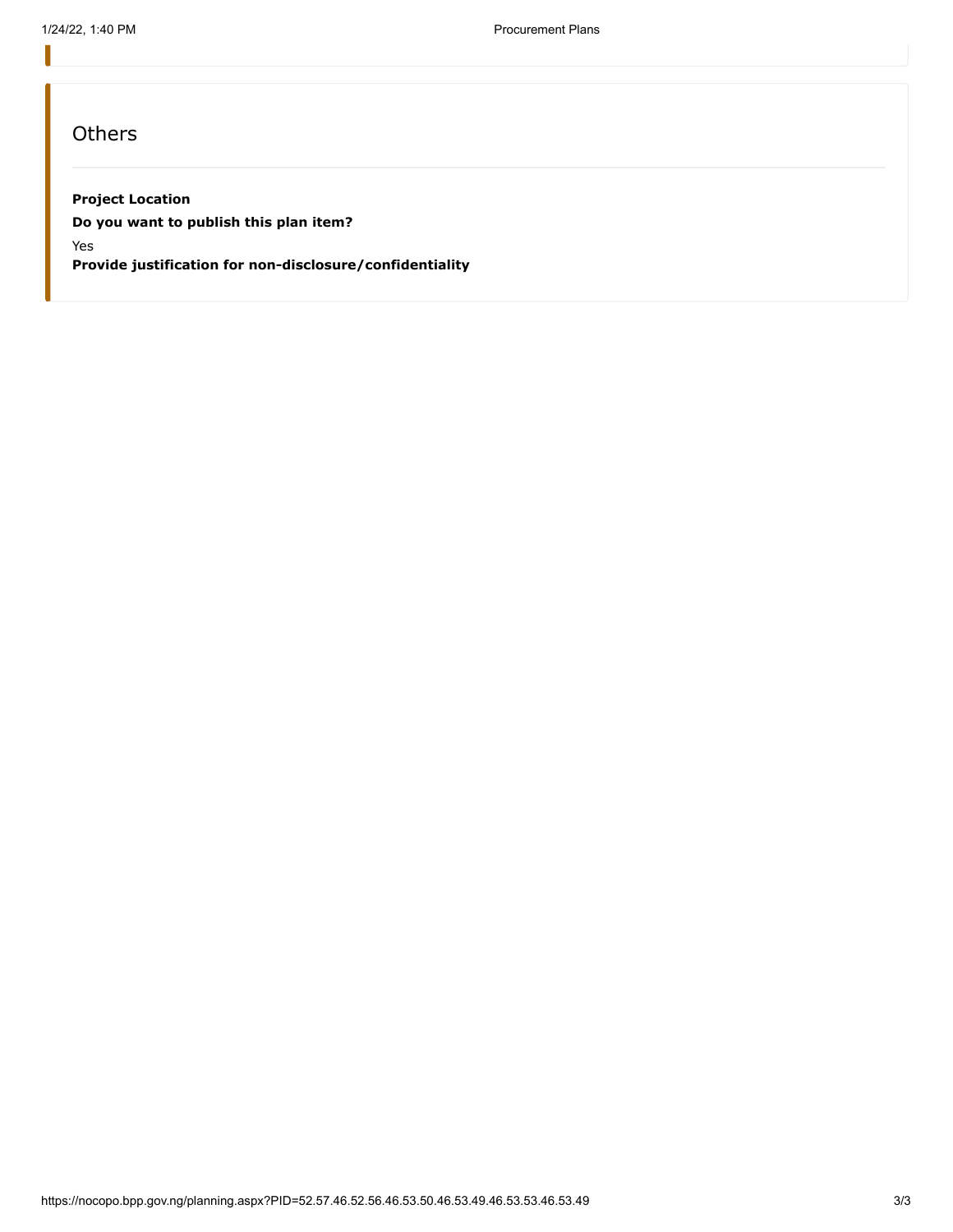### **Others**

#### **Project Location**

**Do you want to publish this plan item?**

Yes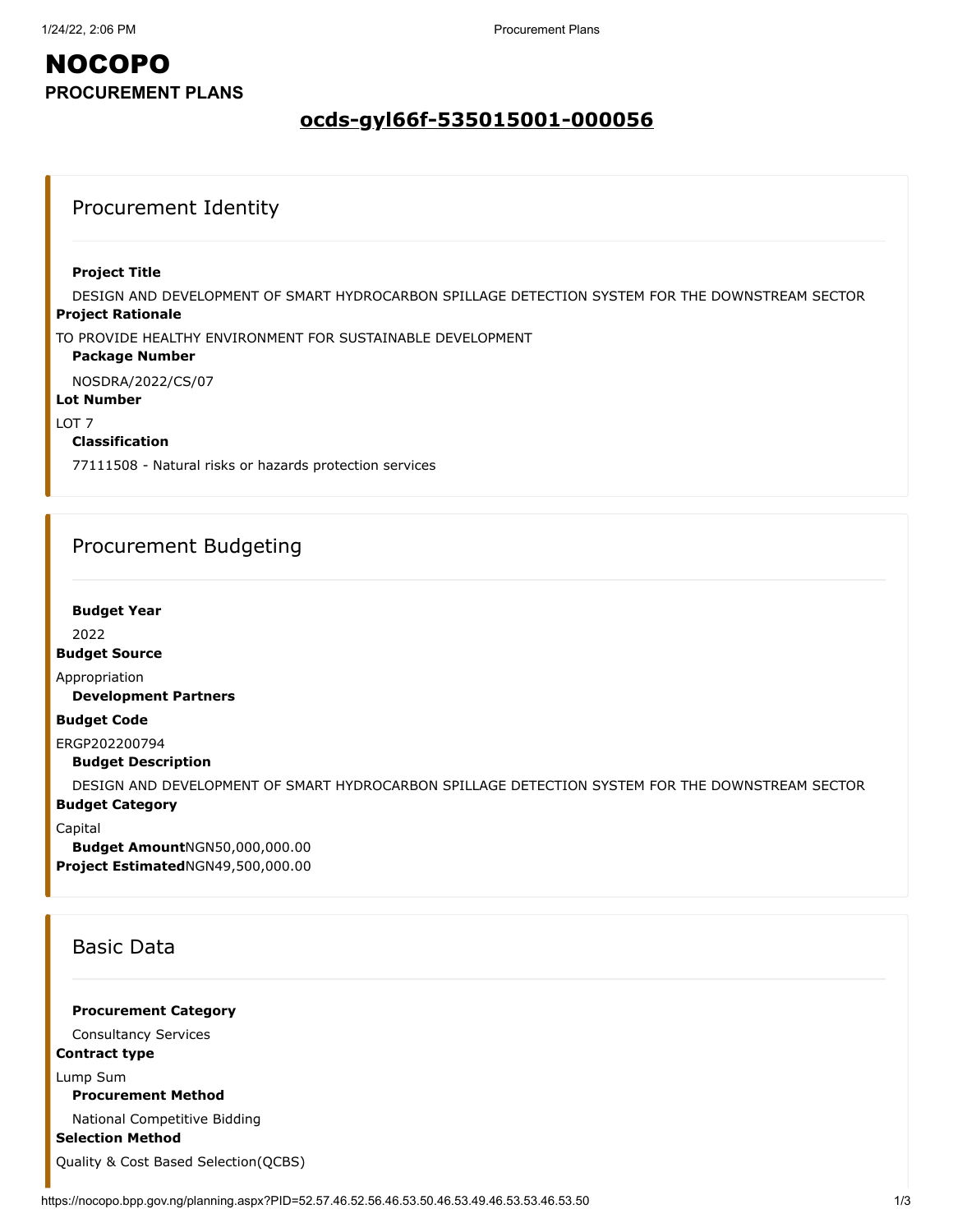### **ocds-gyl66f-535015001-000056**

### Procurement Identity

#### **Project Title**

**Project Rationale** DESIGN AND DEVELOPMENT OF SMART HYDROCARBON SPILLAGE DETECTION SYSTEM FOR THE DOWNSTREAM SECTOR

TO PROVIDE HEALTHY ENVIRONMENT FOR SUSTAINABLE DEVELOPMENT

#### **Package Number**

NOSDRA/2022/CS/07

#### **Lot Number**

LOT 7

#### **Classification**

77111508 - Natural risks or hazards protection services

### Procurement Budgeting

#### **Budget Year**

2022

**Budget Source**

Appropriation

**Development Partners**

#### **Budget Code**

ERGP202200794

**Budget Description**

DESIGN AND DEVELOPMENT OF SMART HYDROCARBON SPILLAGE DETECTION SYSTEM FOR THE DOWNSTREAM SECTOR

#### **Budget Category**

Capital

**Budget Amount**NGN50,000,000.00 **Project Estimated**NGN49,500,000.00

### Basic Data

**Procurement Category**

Consultancy Services

### **Contract type**

Lump Sum

**Procurement Method**

National Competitive Bidding

**Selection Method**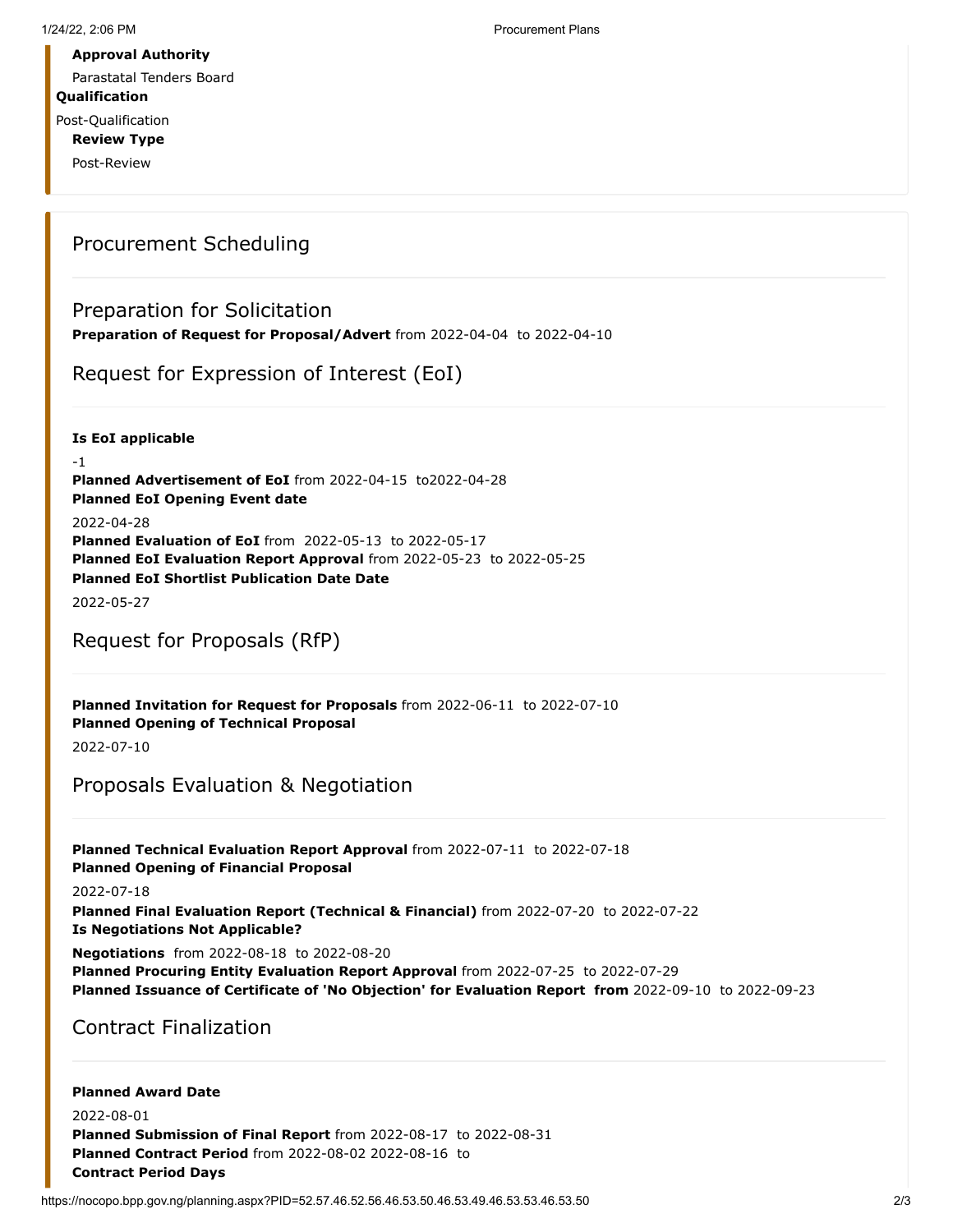Parastatal Tenders Board

**Qualification**

Post-Qualification **Review Type**

Post-Review

### Procurement Scheduling

### Preparation for Solicitation

**Preparation of Request for Proposal/Advert** from 2022-04-04 to 2022-04-10

Request for Expression of Interest (EoI)

**Is EoI applicable**

-1 **Planned Advertisement of EoI** from 2022-04-15 to2022-04-28 **Planned EoI Opening Event date** 2022-04-28 **Planned Evaluation of EoI** from 2022-05-13 to 2022-05-17 **Planned EoI Evaluation Report Approval** from 2022-05-23 to 2022-05-25 **Planned EoI Shortlist Publication Date Date**

2022-05-27

### Request for Proposals (RfP)

**Planned Invitation for Request for Proposals** from 2022-06-11 to 2022-07-10 **Planned Opening of Technical Proposal**

2022-07-10

## Proposals Evaluation & Negotiation

**Planned Technical Evaluation Report Approval** from 2022-07-11 to 2022-07-18 **Planned Opening of Financial Proposal**

2022-07-18

**Planned Final Evaluation Report (Technical & Financial)** from 2022-07-20 to 2022-07-22 **Is Negotiations Not Applicable?**

**Negotiations** from 2022-08-18 to 2022-08-20

**Planned Procuring Entity Evaluation Report Approval** from 2022-07-25 to 2022-07-29 **Planned Issuance of Certificate of 'No Objection' for Evaluation Report from** 2022-09-10 to 2022-09-23

Contract Finalization

#### **Planned Award Date**

2022-08-01 **Planned Submission of Final Report** from 2022-08-17 to 2022-08-31 **Planned Contract Period** from 2022-08-02 2022-08-16 to **Contract Period Days**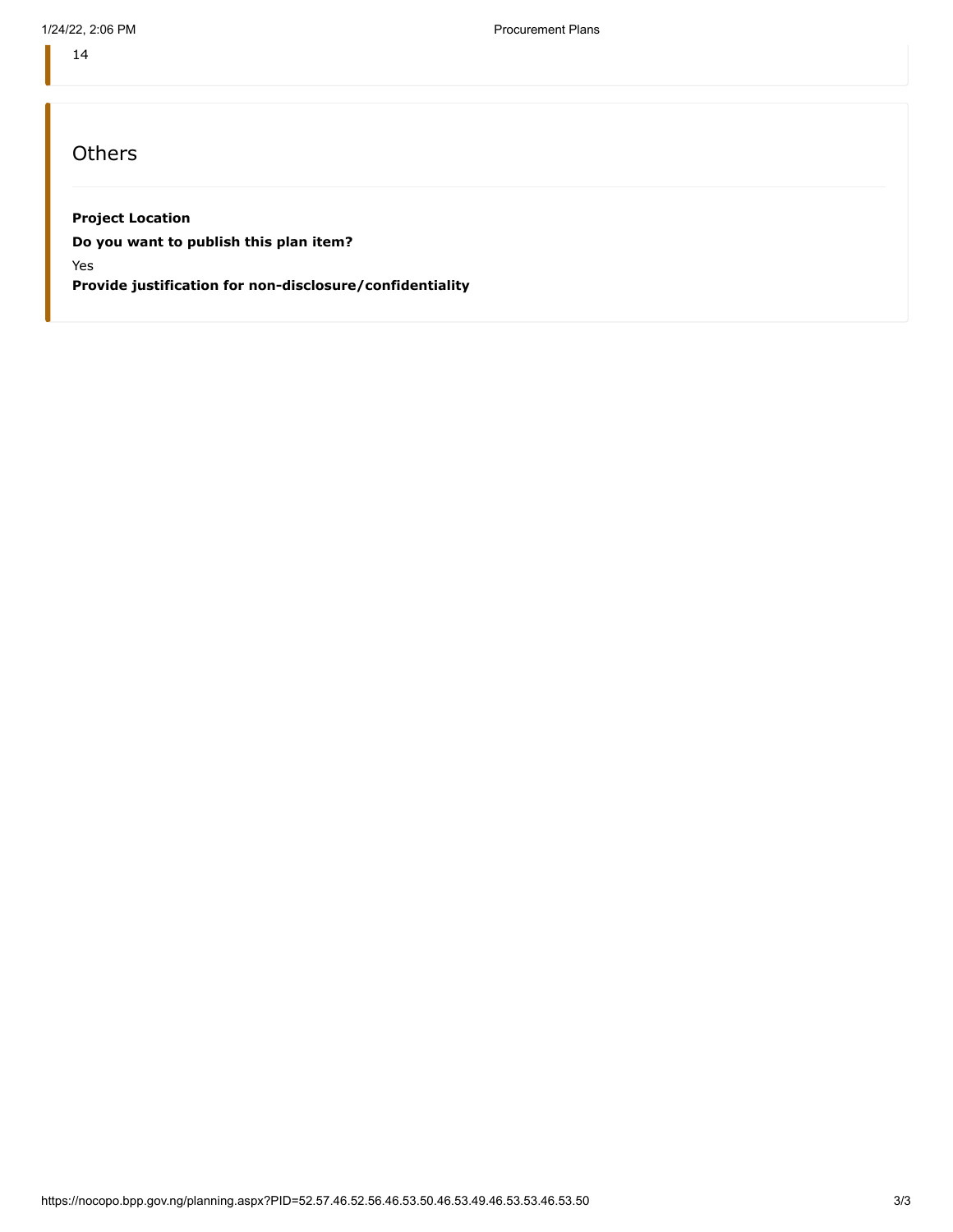14

## **Others**

#### **Project Location**

**Do you want to publish this plan item?**

Yes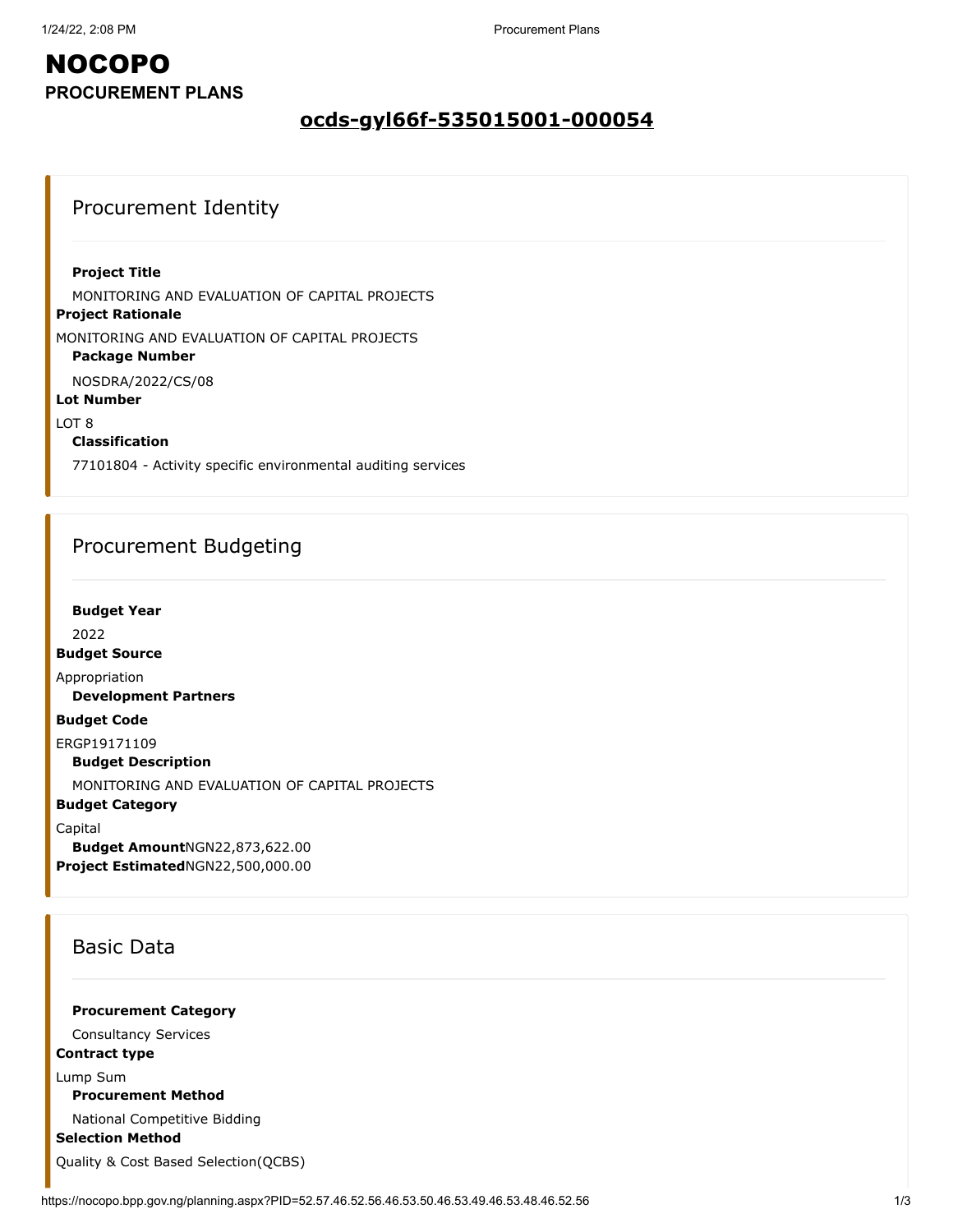### **ocds-gyl66f-535015001-000054**

### Procurement Identity

#### **Project Title**

MONITORING AND EVALUATION OF CAPITAL PROJECTS

#### **Project Rationale**

MONITORING AND EVALUATION OF CAPITAL PROJECTS

### **Package Number**

NOSDRA/2022/CS/08

### **Lot Number**

LOT 8

#### **Classification**

77101804 - Activity specific environmental auditing services

### Procurement Budgeting

**Budget Year**

2022

**Budget Source**

Appropriation

**Development Partners**

#### **Budget Code**

ERGP19171109

**Budget Description**

MONITORING AND EVALUATION OF CAPITAL PROJECTS

#### **Budget Category**

Capital

**Budget Amount**NGN22,873,622.00 **Project Estimated**NGN22,500,000.00

### Basic Data

**Procurement Category**

Consultancy Services

#### **Contract type**

Lump Sum

**Procurement Method**

National Competitive Bidding

**Selection Method**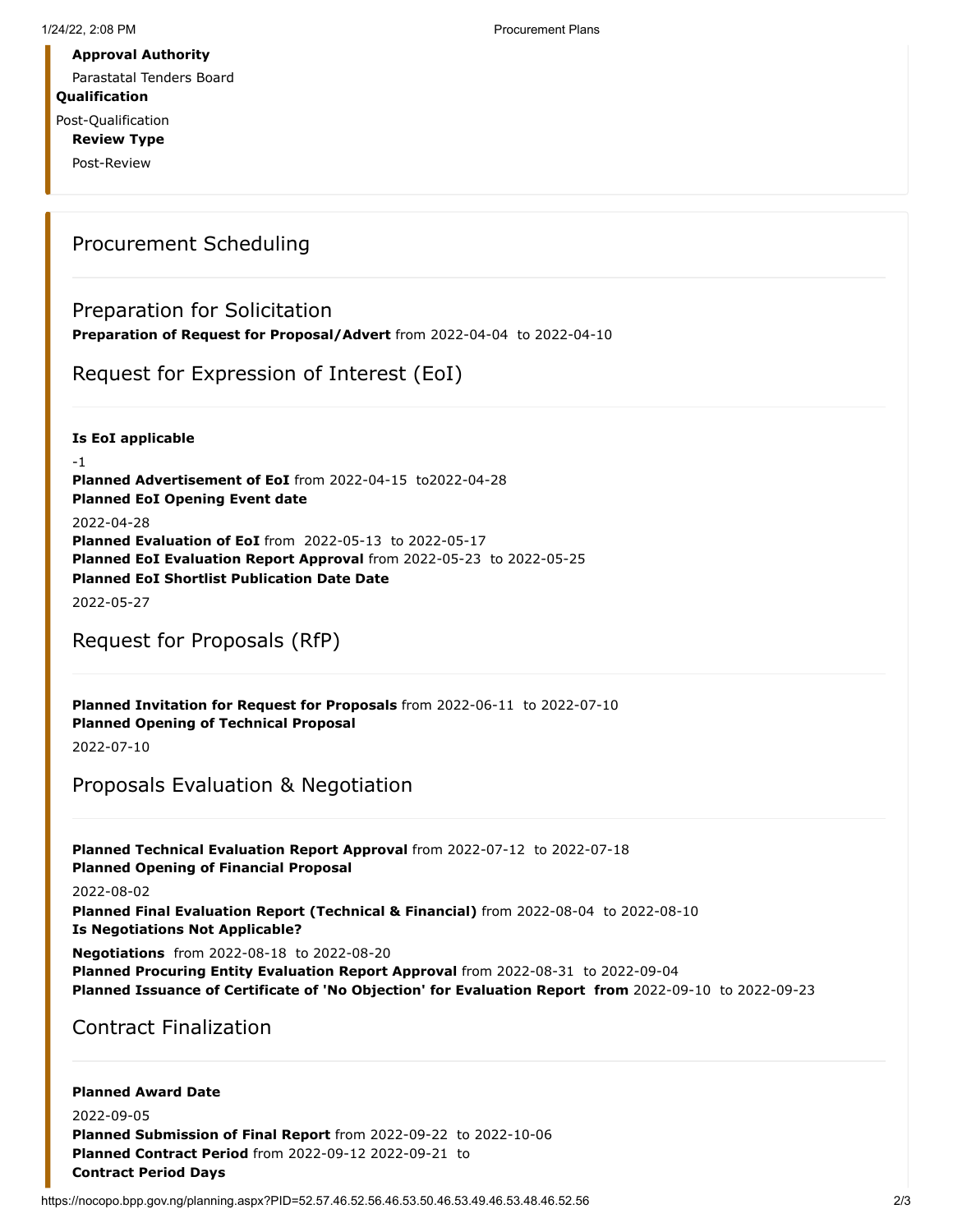Parastatal Tenders Board

**Qualification**

Post-Qualification **Review Type**

Post-Review

### Procurement Scheduling

### Preparation for Solicitation

**Preparation of Request for Proposal/Advert** from 2022-04-04 to 2022-04-10

Request for Expression of Interest (EoI)

**Is EoI applicable**

-1 **Planned Advertisement of EoI** from 2022-04-15 to2022-04-28 **Planned EoI Opening Event date** 2022-04-28 **Planned Evaluation of EoI** from 2022-05-13 to 2022-05-17 **Planned EoI Evaluation Report Approval** from 2022-05-23 to 2022-05-25 **Planned EoI Shortlist Publication Date Date**

2022-05-27

### Request for Proposals (RfP)

**Planned Invitation for Request for Proposals** from 2022-06-11 to 2022-07-10 **Planned Opening of Technical Proposal**

2022-07-10

## Proposals Evaluation & Negotiation

**Planned Technical Evaluation Report Approval** from 2022-07-12 to 2022-07-18 **Planned Opening of Financial Proposal**

2022-08-02

**Planned Final Evaluation Report (Technical & Financial)** from 2022-08-04 to 2022-08-10 **Is Negotiations Not Applicable?**

**Negotiations** from 2022-08-18 to 2022-08-20

**Planned Procuring Entity Evaluation Report Approval** from 2022-08-31 to 2022-09-04 **Planned Issuance of Certificate of 'No Objection' for Evaluation Report from** 2022-09-10 to 2022-09-23

Contract Finalization

### **Planned Award Date**

2022-09-05 **Planned Submission of Final Report** from 2022-09-22 to 2022-10-06 **Planned Contract Period** from 2022-09-12 2022-09-21 to **Contract Period Days**